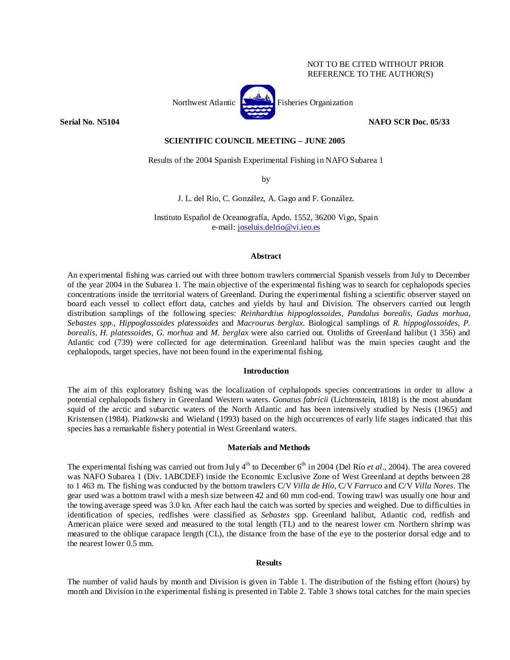# NOT TO BE CITED WITHOUT PRIOR REFERENCE TO THE AUTHOR(S)



## **SCIENTIFIC COUNCIL MEETING – JUNE 2005**

Results of the 2004 Spanish Experimental Fishing in NAFO Subarea 1

by

J. L. del Rio, C. González, A. Gago and F. González.

Instituto Español de Oceanografía, Apdo. 1552, 36200 Vigo, Spain e-mail: joseluis.delrio@vi.ieo.es

# **Abstract**

An experimental fishing was carried out with three bottom trawlers commercial Spanish vessels from July to December of the year 2004 in the Subarea 1. The main objective of the experimental fishing was to search for cephalopods species concentrations inside the territorial waters of Greenland. During the experimental fishing a scientific observer stayed on board each vessel to collect effort data, catches and yields by haul and Division. The observers carried out length distribution samplings of the following species: *Reinhardtius hippoglossoides, Pandalus borealis*, *Gadus morhua*, *Sebastes spp*., *Hippoglossoides platessoides* and *Macrourus berglax.* Biological samplings of *R. hippoglossoides*, *P. borealis, H. platessoides*, *G. morhua* and *M. berglax* were also carried out*.* Otoliths of Greenland halibut (1 356) and Atlantic cod (739) were collected for age determination. Greenland halibut was the main species caught and the cephalopods, target species, have not been found in the experimental fishing.

## **Introduction**

The aim of this exploratory fishing was the localization of cephalopods species concentrations in order to allow a potential cephalopods fishery in Greenland Western waters. *Gonatus fabricii* (Lichtenstein, 1818) is the most abundant squid of the arctic and subarctic waters of the North Atlantic and has been intensively studied by Nesis (1965) and Kristensen (1984). Piatkowski and Wieland (1993) based on the high occurrences of early life stages indicated that this species has a remarkable fishery potential in West Greenland waters.

### **Materials and Methods**

The experimental fishing was carried out from July  $4<sup>th</sup>$  to December  $6<sup>th</sup>$  in 2004 (Del Río *et al.*, 2004). The area covered was NAFO Subarea 1 (Div. 1ABCDEF) inside the Economic Exclusive Zone of West Greenland at depths between 28 to 1 463 m. The fishing was conducted by the bottom trawlers C/V *Villa de Hío,* C/V *Farruco* and C/V *Villa Nores*. The gear used was a bottom trawl with a mesh size between 42 and 60 mm cod-end. Towing trawl was usually one hour and the towing average speed was 3.0 kn. After each haul the catch was sorted by species and weighed. Due to difficulties in identification of species, redfishes were classified as *Sebastes* spp. Greenland halibut, Atlantic cod, redfish and American plaice were sexed and measured to the total length (TL) and to the nearest lower cm. Northern shrimp was measured to the oblique carapace length (CL), the distance from the base of the eye to the posterior dorsal edge and to the nearest lower 0.5 mm.

### **Results**

The number of valid hauls by month and Division is given in Table 1. The distribution of the fishing effort (hours) by month and Division in the experimental fishing is presented in Table 2. Table 3 shows total catches for the main species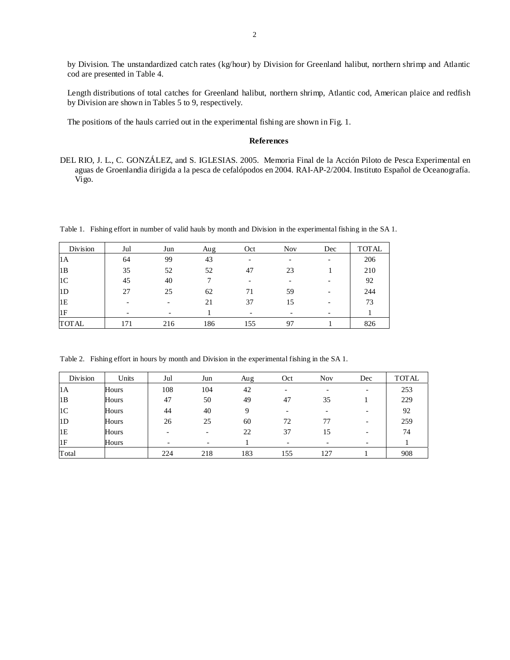by Division. The unstandardized catch rates (kg/hour) by Division for Greenland halibut, northern shrimp and Atlantic cod are presented in Table 4.

Length distributions of total catches for Greenland halibut, northern shrimp, Atlantic cod, American plaice and redfish by Division are shown in Tables 5 to 9, respectively.

The positions of the hauls carried out in the experimental fishing are shown in Fig. 1.

### **References**

DEL RIO, J. L., C. GONZÁLEZ, and S. IGLESIAS. 2005. Memoria Final de la Acción Piloto de Pesca Experimental en aguas de Groenlandia dirigida a la pesca de cefalópodos en 2004. RAI-AP-2/2004. Instituto Español de Oceanografía. Vigo.

Table 1. Fishing effort in number of valid hauls by month and Division in the experimental fishing in the SA 1.

| Division       | Jul | Jun | Aug | Oct | <b>Nov</b> | Dec | <b>TOTAL</b> |
|----------------|-----|-----|-----|-----|------------|-----|--------------|
| 1A             | 64  | 99  | 43  |     |            |     | 206          |
| 1B             | 35  | 52  | 52  | 47  | 23         |     | 210          |
| 1 <sub>C</sub> | 45  | 40  |     |     |            |     | 92           |
| 1D             | 27  | 25  | 62  | 71  | 59         |     | 244          |
| 1E             |     |     | 21  | 37  | 15         |     | 73           |
| 1F             |     |     |     |     |            |     |              |
| <b>TOTAL</b>   | 171 | 216 | 186 | 155 | 97         |     | 826          |

Table 2. Fishing effort in hours by month and Division in the experimental fishing in the SA 1.

| Division       | Units | Jul | Jun | Aug | Oct | <b>Nov</b> | Dec                      | <b>TOTAL</b> |
|----------------|-------|-----|-----|-----|-----|------------|--------------------------|--------------|
| 1A             | Hours | 108 | 104 | 42  |     |            | $\overline{\phantom{0}}$ | 253          |
| 1B             | Hours | 47  | 50  | 49  | 47  | 35         |                          | 229          |
| 1 <sup>C</sup> | Hours | 44  | 40  | 9   |     |            | $\overline{\phantom{a}}$ | 92           |
| 1D             | Hours | 26  | 25  | 60  | 72  | 77         | -                        | 259          |
| 1E             | Hours |     |     | 22  | 37  | 15         | $\overline{\phantom{0}}$ | 74           |
| 1F             | Hours |     |     |     |     |            | $\overline{\phantom{0}}$ |              |
| Total          |       | 224 | 218 | 183 | 155 | 127        |                          | 908          |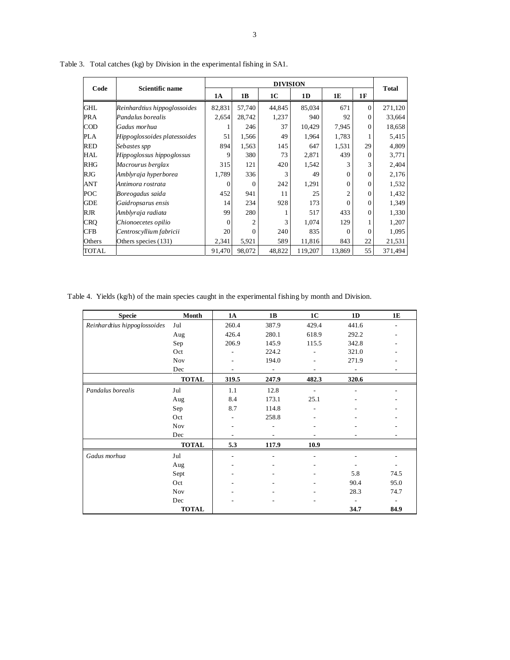|              |                              |           | <b>Total</b>   |                |                |                |          |         |  |
|--------------|------------------------------|-----------|----------------|----------------|----------------|----------------|----------|---------|--|
| Code         | Scientific name              | <b>1A</b> | 1B             | 1 <sub>C</sub> | 1 <sub>D</sub> | 1E             | 1F       |         |  |
| <b>GHL</b>   | Reinhardtius hippoglossoides | 82,831    | 57,740         | 44,845         | 85,034         | 671            | $\Omega$ | 271,120 |  |
| <b>PRA</b>   | Pandalus borealis            | 2,654     | 28,742         | 1,237          | 940            | 92             | $\theta$ | 33,664  |  |
| <b>COD</b>   | Gadus morhua                 |           | 246            | 37             | 10,429         | 7,945          | $\theta$ | 18,658  |  |
| <b>PLA</b>   | Hippoglossoides platessoides | 51        | 1,566          | 49             | 1,964          | 1,783          |          | 5,415   |  |
| <b>RED</b>   | Sebastes spp                 | 894       | 1,563          | 145            | 647            | 1,531          | 29       | 4,809   |  |
| HAL          | Hippoglossus hippoglossus    | 9         | 380            | 73             | 2,871          | 439            | $\Omega$ | 3,771   |  |
| <b>RHG</b>   | Macrourus berglax            | 315       | 121            | 420            | 1,542          |                | 3        | 2,404   |  |
| <b>RJG</b>   | Amblyraja hyperborea         | 1,789     | 336            | 3              | 49             | $\Omega$       | $\theta$ | 2,176   |  |
| <b>ANT</b>   | Antimora rostrata            |           | 0              | 242            | 1,291          | $\Omega$       | $\theta$ | 1,532   |  |
| POC          | Boreogadus saida             | 452       | 941            | 11             | 25             | $\overline{c}$ | $\Omega$ | 1,432   |  |
| <b>GDE</b>   | Gaidropsarus ensis           | 14        | 234            | 928            | 173            | $\Omega$       | $\Omega$ | 1,349   |  |
| <b>RJR</b>   | Amblyraja radiata            | 99        | 280            |                | 517            | 433            | $\Omega$ | 1,330   |  |
| <b>CRQ</b>   | Chionoecetes opilio          | $\Omega$  | $\mathfrak{D}$ | 3              | 1,074          | 129            |          | 1,207   |  |
| <b>CFB</b>   | Centroscyllium fabricii      | 20        | $\Omega$       | 240            | 835            | $\Omega$       | $\Omega$ | 1,095   |  |
| Others       | Others species (131)         | 2,341     | 5,921          | 589            | 11,816         | 843            | 22       | 21,531  |  |
| <b>TOTAL</b> |                              | 91,470    | 98,072         | 48,822         | 119,207        | 13,869         | 55       | 371,494 |  |

Table 3. Total catches (kg) by Division in the experimental fishing in SA1.

Table 4. Yields (kg/h) of the main species caught in the experimental fishing by month and Division.

| <b>Specie</b>                | Month        | 1A    | 1B                       | 1 <sub>C</sub> | 1D                       | 1E   |
|------------------------------|--------------|-------|--------------------------|----------------|--------------------------|------|
| Reinhardtius hippoglossoides | Jul          | 260.4 | 387.9                    | 429.4          | 441.6                    |      |
|                              | Aug          | 426.4 | 280.1                    | 618.9          | 292.2                    |      |
|                              | Sep          | 206.9 | 145.9                    | 115.5          | 342.8                    |      |
|                              | Oct          |       | 224.2                    |                | 321.0                    |      |
|                              | <b>Nov</b>   |       | 194.0                    |                | 271.9                    |      |
|                              | Dec          |       | $\overline{\phantom{a}}$ |                | $\overline{\phantom{0}}$ |      |
|                              | <b>TOTAL</b> | 319.5 | 247.9                    | 482.3          | 320.6                    |      |
| Pandalus borealis            | Jul          | 1.1   | 12.8                     |                |                          |      |
|                              | Aug          | 8.4   | 173.1                    | 25.1           |                          |      |
|                              | Sep          | 8.7   | 114.8                    |                |                          |      |
|                              | Oct          |       | 258.8                    |                |                          |      |
|                              | <b>Nov</b>   |       |                          |                |                          |      |
|                              | Dec          |       |                          |                |                          |      |
|                              | <b>TOTAL</b> | 5.3   | 117.9                    | 10.9           |                          |      |
| Gadus morhua                 | Jul          |       |                          |                |                          |      |
|                              | Aug          |       |                          |                |                          |      |
|                              | Sept         |       |                          |                | 5.8                      | 74.5 |
|                              | Oct          |       |                          |                | 90.4                     | 95.0 |
|                              | <b>Nov</b>   |       |                          |                | 28.3                     | 74.7 |
|                              | Dec          |       |                          |                |                          |      |
|                              | <b>TOTAL</b> |       |                          |                | 34.7                     | 84.9 |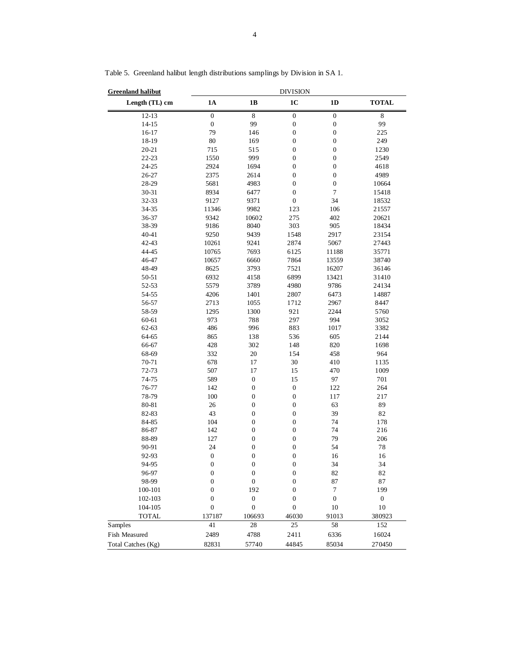| <b>Greenland halibut</b> |                                      |                                      | <b>DIVISION</b>                      |                        |              |
|--------------------------|--------------------------------------|--------------------------------------|--------------------------------------|------------------------|--------------|
| Length (TL) cm           | 1A                                   | 1B                                   | 1 <sub>C</sub>                       | 1D                     | <b>TOTAL</b> |
| $12 - 13$                | $\boldsymbol{0}$                     | $\,8\,$                              | $\boldsymbol{0}$                     | $\boldsymbol{0}$       | $\,8\,$      |
| $14-15$                  | $\boldsymbol{0}$                     | 99                                   | $\boldsymbol{0}$                     | $\boldsymbol{0}$       | 99           |
| 16-17                    | 79                                   | 146                                  | $\boldsymbol{0}$                     | $\boldsymbol{0}$       | 225          |
| 18-19                    | 80                                   | 169                                  | $\boldsymbol{0}$                     | $\boldsymbol{0}$       | 249          |
| 20-21                    | 715                                  | 515                                  | $\boldsymbol{0}$                     | $\boldsymbol{0}$       | 1230         |
| 22-23                    | 1550                                 | 999                                  | $\boldsymbol{0}$                     | $\boldsymbol{0}$       | 2549         |
| 24-25                    | 2924                                 | 1694                                 | 0                                    | $\boldsymbol{0}$       | 4618         |
| 26-27                    | 2375                                 | 2614                                 | $\boldsymbol{0}$                     | $\boldsymbol{0}$       | 4989         |
| 28-29                    | 5681                                 | 4983                                 | $\boldsymbol{0}$                     | $\boldsymbol{0}$       | 10664        |
| 30-31                    | 8934                                 | 6477                                 | $\boldsymbol{0}$                     | $\boldsymbol{7}$       | 15418        |
| 32-33                    | 9127                                 | 9371                                 | $\boldsymbol{0}$                     | 34                     | 18532        |
| 34-35                    | 11346                                | 9982                                 | 123                                  | 106                    | 21557        |
| 36-37                    | 9342                                 | 10602                                | 275                                  | 402                    | 20621        |
| 38-39                    | 9186                                 | 8040                                 | 303                                  | 905                    | 18434        |
| 40-41                    | 9250                                 | 9439                                 | 1548                                 | 2917                   | 23154        |
| 42-43                    | 10261                                | 9241                                 | 2874                                 | 5067                   | 27443        |
| 44-45                    | 10765                                | 7693                                 | 6125                                 | 11188                  | 35771        |
| 46-47                    | 10657                                | 6660                                 | 7864                                 | 13559                  | 38740        |
| 48-49                    | 8625                                 | 3793                                 | 7521                                 | 16207                  | 36146        |
| 50-51                    | 6932                                 | 4158                                 | 6899                                 | 13421                  | 31410        |
| 52-53                    | 5579                                 | 3789                                 | 4980                                 | 9786                   | 24134        |
| 54-55                    | 4206                                 | 1401                                 | 2807                                 | 6473                   | 14887        |
| 56-57                    | 2713                                 | 1055                                 | 1712                                 | 2967                   | 8447         |
| 58-59                    | 1295                                 | 1300                                 | 921                                  | 2244                   | 5760         |
| 60-61                    | 973                                  | 788                                  | 297                                  | 994                    | 3052         |
| 62-63                    | 486                                  | 996                                  | 883                                  | 1017                   | 3382         |
| 64-65                    | 865                                  | 138                                  | 536                                  | 605                    | 2144         |
| 66-67                    | 428                                  | 302                                  | 148                                  | 820                    | 1698         |
| 68-69                    | 332                                  | 20                                   | 154                                  | 458                    | 964          |
| 70-71                    | 678                                  | 17                                   | $30\,$                               | 410                    | 1135         |
| 72-73                    | 507                                  | 17                                   | 15                                   | 470                    | 1009         |
| 74-75                    | 589                                  | $\boldsymbol{0}$                     | 15                                   | 97                     | 701          |
| 76-77                    | 142                                  | $\boldsymbol{0}$                     | $\boldsymbol{0}$                     | 122                    | 264          |
| 78-79                    | 100                                  | $\boldsymbol{0}$                     | $\boldsymbol{0}$                     | 117                    | 217          |
| 80-81                    | 26                                   | $\boldsymbol{0}$                     | $\boldsymbol{0}$                     | 63                     | 89           |
| 82-83                    | 43                                   | $\boldsymbol{0}$                     | $\boldsymbol{0}$                     | 39                     | 82           |
| 84-85                    | 104                                  | $\boldsymbol{0}$                     | $\boldsymbol{0}$                     | 74                     | 178          |
| 86-87                    | 142                                  | $\boldsymbol{0}$                     | $\boldsymbol{0}$                     | 74                     | 216          |
| 88-89                    | 127                                  | $\boldsymbol{0}$                     | $\boldsymbol{0}$                     | 79                     | 206          |
| 90-91                    | 24                                   | $\boldsymbol{0}$                     | $\boldsymbol{0}$                     | 54                     | 78           |
| 92-93<br>94-95           | $\boldsymbol{0}$                     | $\boldsymbol{0}$<br>$\boldsymbol{0}$ | $\boldsymbol{0}$<br>$\boldsymbol{0}$ | 16<br>34               | 16<br>34     |
| 96-97                    | $\boldsymbol{0}$<br>$\boldsymbol{0}$ | $\boldsymbol{0}$                     | $\boldsymbol{0}$                     |                        |              |
| 98-99                    | $\boldsymbol{0}$                     | $\boldsymbol{0}$                     | $\boldsymbol{0}$                     | 82                     | 82<br>87     |
| 100-101                  | $\boldsymbol{0}$                     | 192                                  | $\boldsymbol{0}$                     | 87<br>$\boldsymbol{7}$ | 199          |
| 102-103                  | 0                                    | $\boldsymbol{0}$                     | $\boldsymbol{0}$                     | $\boldsymbol{0}$       | $\mathbf{0}$ |
| 104-105                  | $\boldsymbol{0}$                     | $\boldsymbol{0}$                     | $\boldsymbol{0}$                     | 10                     | $10\,$       |
| <b>TOTAL</b>             | 137187                               | 106693                               | 46030                                | 91013                  | 380923       |
| Samples                  | 41                                   | 28                                   | 25                                   | 58                     | 152          |
| Fish Measured            | 2489                                 | 4788                                 | 2411                                 | 6336                   | 16024        |
| Total Catches (Kg)       | 82831                                | 57740                                | 44845                                | 85034                  | 270450       |
|                          |                                      |                                      |                                      |                        |              |

Table 5. Greenland halibut length distributions samplings by Division in SA 1.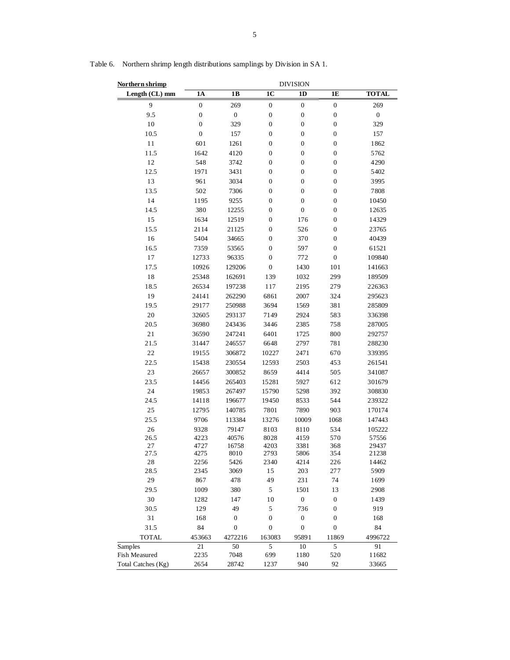| Northern shrimp    |                  |                  |                  | <b>DIVISION</b>  |                  |                  |
|--------------------|------------------|------------------|------------------|------------------|------------------|------------------|
| Length $(CL)$ mm   | <b>1A</b>        | 1B               | 1 <sub>C</sub>   | 1 <sub>D</sub>   | 1E               | <b>TOTAL</b>     |
| 9                  | $\boldsymbol{0}$ | 269              | $\boldsymbol{0}$ | $\boldsymbol{0}$ | $\boldsymbol{0}$ | 269              |
| 9.5                | $\boldsymbol{0}$ | $\boldsymbol{0}$ | $\boldsymbol{0}$ | $\boldsymbol{0}$ | $\boldsymbol{0}$ | $\boldsymbol{0}$ |
| 10                 | $\boldsymbol{0}$ | 329              | $\boldsymbol{0}$ | $\boldsymbol{0}$ | $\boldsymbol{0}$ | 329              |
| 10.5               | $\boldsymbol{0}$ | 157              | $\boldsymbol{0}$ | $\boldsymbol{0}$ | $\boldsymbol{0}$ | 157              |
| 11                 | 601              | 1261             | $\overline{0}$   | $\boldsymbol{0}$ | $\boldsymbol{0}$ | 1862             |
| 11.5               | 1642             | 4120             | $\boldsymbol{0}$ | $\boldsymbol{0}$ | $\boldsymbol{0}$ | 5762             |
| 12                 | 548              | 3742             | $\mathbf{0}$     | $\boldsymbol{0}$ | $\boldsymbol{0}$ | 4290             |
| 12.5               | 1971             | 3431             | 0                | $\boldsymbol{0}$ | $\boldsymbol{0}$ | 5402             |
| 13                 | 961              | 3034             | $\boldsymbol{0}$ | $\boldsymbol{0}$ | $\boldsymbol{0}$ | 3995             |
| 13.5               | 502              | 7306             | $\boldsymbol{0}$ | $\boldsymbol{0}$ | $\boldsymbol{0}$ | 7808             |
| 14                 | 1195             | 9255             | $\boldsymbol{0}$ | $\boldsymbol{0}$ | $\boldsymbol{0}$ | 10450            |
| 14.5               | 380              | 12255            | $\boldsymbol{0}$ | $\boldsymbol{0}$ | $\boldsymbol{0}$ | 12635            |
| 15                 | 1634             | 12519            | $\boldsymbol{0}$ | 176              | $\boldsymbol{0}$ | 14329            |
| 15.5               | 2114             | 21125            | $\mathbf{0}$     | 526              | $\boldsymbol{0}$ | 23765            |
| 16                 | 5404             | 34665            | $\mathbf{0}$     | 370              | $\boldsymbol{0}$ | 40439            |
| 16.5               | 7359             | 53565            | $\boldsymbol{0}$ | 597              | $\boldsymbol{0}$ | 61521            |
| $17$               | 12733            | 96335            | $\boldsymbol{0}$ | 772              | $\boldsymbol{0}$ | 109840           |
| 17.5               | 10926            | 129206           | $\boldsymbol{0}$ | 1430             | 101              | 141663           |
| 18                 | 25348            | 162691           | 139              | 1032             | 299              | 189509           |
| 18.5               | 26534            | 197238           | 117              | 2195             | 279              | 226363           |
| 19                 | 24141            | 262290           | 6861             | 2007             | 324              | 295623           |
| 19.5               | 29177            | 250988           | 3694             | 1569             | 381              | 285809           |
| $20\,$             | 32605            | 293137           | 7149             | 2924             | 583              | 336398           |
| 20.5               | 36980            | 243436           | 3446             | 2385             | 758              | 287005           |
| 21                 | 36590            | 247241           | 6401             | 1725             | 800              | 292757           |
| 21.5               | 31447            | 246557           | 6648             | 2797             | 781              | 288230           |
| $2\sqrt{2}$        | 19155            | 306872           | 10227            | 2471             | 670              | 339395           |
| 22.5               | 15438            | 230554           | 12593            | 2503             | 453              | 261541           |
| 23                 | 26657            | 300852           | 8659             | 4414             | 505              | 341087           |
| 23.5               | 14456            | 265403           | 15281            | 5927             | 612              | 301679           |
| 24                 | 19853            | 267497           | 15790            | 5298             | 392              | 308830           |
| 24.5               | 14118            | 196677           | 19450            | 8533             | 544              | 239322           |
| 25                 | 12795            | 140785           | 7801             | 7890             | 903              | 170174           |
| 25.5               | 9706             | 113384           | 13276            | 10009            | 1068             | 147443           |
| 26                 | 9328             | 79147            | 8103             | 8110             | 534              | 105222           |
| 26.5               | 4223             | 40576            | 8028             | 4159             | 570              | 57556            |
| 27                 | 4727             | 16758            | 4203             | 3381             | 368              | 29437            |
| 27.5<br>28         | 4275<br>2256     | 8010<br>5426     | 2793<br>2340     | 5806<br>4214     | 354<br>226       | 21238<br>14462   |
| 28.5               | 2345             | 3069             | 15               | 203              | 277              | 5909             |
| 29                 | 867              | 478              | 49               | 231              | 74               | 1699             |
| 29.5               | 1009             | 380              | 5                | 1501             | 13               | 2908             |
| $30\,$             | 1282             | 147              | 10               | $\boldsymbol{0}$ | $\boldsymbol{0}$ | 1439             |
| 30.5               | 129              | 49               | 5                | 736              | $\boldsymbol{0}$ | 919              |
| 31                 | 168              | $\boldsymbol{0}$ | $\boldsymbol{0}$ | $\boldsymbol{0}$ | $\boldsymbol{0}$ | 168              |
| 31.5               | 84               | $\boldsymbol{0}$ | 0                | $\boldsymbol{0}$ | 0                | 84               |
| <b>TOTAL</b>       | 453663           | 4272216          | 163083           | 95891            | 11869            | 4996722          |
| Samples            | 21               | 50               | 5                | 10               | 5                | 91               |
| Fish Measured      | 2235             | 7048             | 699              | 1180             | 520              | 11682            |
| Total Catches (Kg) | 2654             | 28742            | 1237             | 940              | 92               | 33665            |

Table 6. Northern shrimp length distributions samplings by Division in SA 1.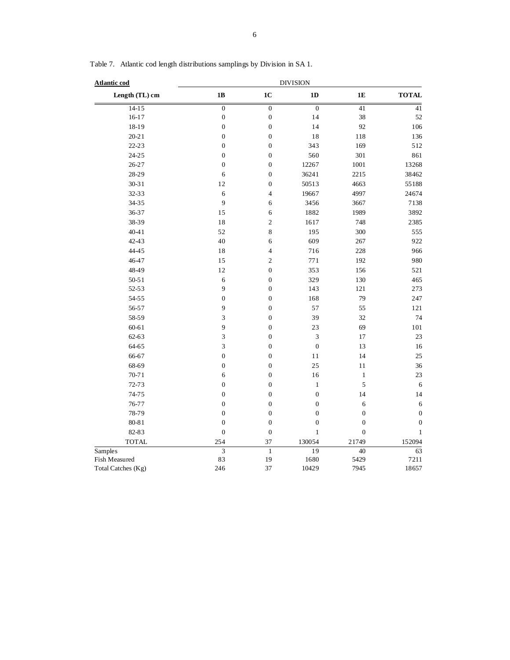| <b>Atlantic cod</b> |                         |                          | <b>DIVISION</b>  |                  |                  |
|---------------------|-------------------------|--------------------------|------------------|------------------|------------------|
| Length (TL) cm      | 1B                      | 1 <sub>C</sub>           | 1D               | 1E               | <b>TOTAL</b>     |
| $14 - 15$           | $\overline{0}$          | $\overline{0}$           | $\overline{0}$   | $\overline{41}$  | 41               |
| $16 - 17$           | $\boldsymbol{0}$        | $\boldsymbol{0}$         | 14               | 38               | 52               |
| 18-19               | $\boldsymbol{0}$        | $\boldsymbol{0}$         | 14               | 92               | $106\,$          |
| $20 - 21$           | $\boldsymbol{0}$        | $\boldsymbol{0}$         | 18               | 118              | 136              |
| $22 - 23$           | $\boldsymbol{0}$        | $\boldsymbol{0}$         | 343              | 169              | 512              |
| $24 - 25$           | $\boldsymbol{0}$        | $\boldsymbol{0}$         | 560              | 301              | 861              |
| $26 - 27$           | $\boldsymbol{0}$        | $\boldsymbol{0}$         | 12267            | 1001             | 13268            |
| 28-29               | $\sqrt{6}$              | $\boldsymbol{0}$         | 36241            | 2215             | 38462            |
| $30 - 31$           | 12                      | $\boldsymbol{0}$         | 50513            | 4663             | 55188            |
| 32-33               | $\sqrt{6}$              | $\overline{4}$           | 19667            | 4997             | 24674            |
| 34-35               | 9                       | 6                        | 3456             | 3667             | 7138             |
| 36-37               | 15                      | 6                        | 1882             | 1989             | 3892             |
| 38-39               | $1\,8$                  | $\sqrt{2}$               | 1617             | 748              | 2385             |
| $40 - 41$           | 52                      | 8                        | 195              | 300              | 555              |
| $42 - 43$           | 40                      | 6                        | 609              | 267              | 922              |
| 44-45               | $1\,8$                  | $\overline{\mathcal{L}}$ | 716              | 228              | 966              |
| 46-47               | 15                      | $\overline{c}$           | 771              | 192              | 980              |
| 48-49               | 12                      | $\boldsymbol{0}$         | 353              | 156              | 521              |
| $50 - 51$           | $\sqrt{6}$              | $\boldsymbol{0}$         | 329              | 130              | 465              |
| 52-53               | 9                       | $\boldsymbol{0}$         | 143              | 121              | 273              |
| 54-55               | $\boldsymbol{0}$        | $\boldsymbol{0}$         | 168              | 79               | 247              |
| 56-57               | 9                       | $\boldsymbol{0}$         | 57               | 55               | 121              |
| 58-59               | 3                       | $\boldsymbol{0}$         | 39               | 32               | 74               |
| $60 - 61$           | 9                       | $\boldsymbol{0}$         | 23               | 69               | 101              |
| $62 - 63$           | 3                       | $\boldsymbol{0}$         | 3                | 17               | 23               |
| 64-65               | 3                       | $\boldsymbol{0}$         | $\mathbf{0}$     | 13               | 16               |
| 66-67               | $\boldsymbol{0}$        | $\boldsymbol{0}$         | $1\,1$           | 14               | 25               |
| 68-69               | $\boldsymbol{0}$        | $\boldsymbol{0}$         | 25               | 11               | 36               |
| $70 - 71$           | $\sqrt{6}$              | $\boldsymbol{0}$         | 16               | $\mathbf{1}$     | 23               |
| $72 - 73$           | $\boldsymbol{0}$        | $\boldsymbol{0}$         | $\mathbf{1}$     | 5                | 6                |
| $74 - 75$           | $\boldsymbol{0}$        | $\boldsymbol{0}$         | $\boldsymbol{0}$ | 14               | 14               |
| 76-77               | $\boldsymbol{0}$        | $\boldsymbol{0}$         | $\boldsymbol{0}$ | $\sqrt{6}$       | $\sqrt{6}$       |
| 78-79               | $\boldsymbol{0}$        | $\boldsymbol{0}$         | $\boldsymbol{0}$ | $\boldsymbol{0}$ | $\boldsymbol{0}$ |
| $80 - 81$           | $\boldsymbol{0}$        | $\boldsymbol{0}$         | $\boldsymbol{0}$ | $\boldsymbol{0}$ | $\boldsymbol{0}$ |
| 82-83               | $\boldsymbol{0}$        | $\boldsymbol{0}$         | $\mathbf{1}$     | $\boldsymbol{0}$ | $\mathbf{1}$     |
| <b>TOTAL</b>        | 254                     | 37                       | 130054           | 21749            | 152094           |
| Samples             | $\overline{\mathbf{3}}$ | $\mathbf{1}$             | 19               | 40               | $\overline{63}$  |
| Fish Measured       | 83                      | 19                       | 1680             | 5429             | 7211             |
| Total Catches (Kg)  | 246                     | 37                       | 10429            | 7945             | 18657            |

Table 7. Atlantic cod length distributions samplings by Division in SA 1.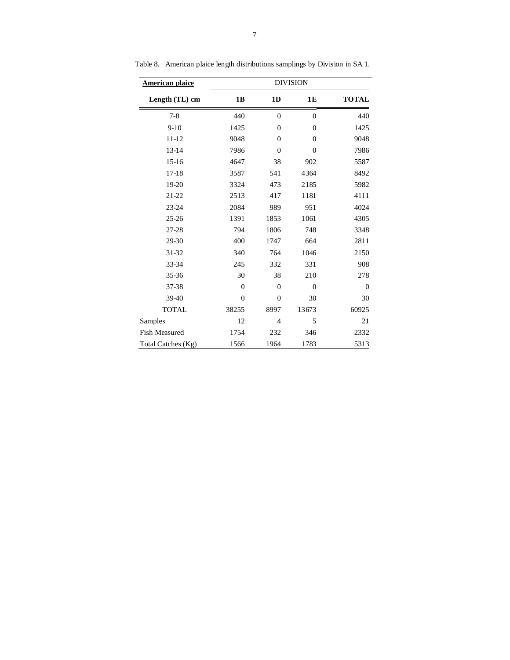| <b>American plaice</b> | <b>DIVISION</b> |                |                |                |  |  |  |
|------------------------|-----------------|----------------|----------------|----------------|--|--|--|
| Length (TL) cm         | 1B              | 1 <sub>D</sub> | 1E             | <b>TOTAL</b>   |  |  |  |
| $7 - 8$                | 440             | $\overline{0}$ | $\mathbf{0}$   | 440            |  |  |  |
| $9 - 10$               | 1425            | $\overline{0}$ | $\mathbf{0}$   | 1425           |  |  |  |
| 11-12                  | 9048            | $\theta$       | $\theta$       | 9048           |  |  |  |
| 13-14                  | 7986            | $\overline{0}$ | $\mathbf{0}$   | 7986           |  |  |  |
| $15-16$                | 4647            | 38             | 902            | 5587           |  |  |  |
| $17 - 18$              | 3587            | 541            | 4364           | 8492           |  |  |  |
| 19-20                  | 3324            | 473            | 2185           | 5982           |  |  |  |
| 21-22                  | 2513            | 417            | 1181           | 4111           |  |  |  |
| 23-24                  | 2084            | 989            | 951            | 4024           |  |  |  |
| $25 - 26$              | 1391            | 1853           | 1061           | 4305           |  |  |  |
| 27-28                  | 794             | 1806           | 748            | 3348           |  |  |  |
| 29-30                  | 400             | 1747           | 664            | 2811           |  |  |  |
| 31-32                  | 340             | 764            | 1046           | 2150           |  |  |  |
| 33-34                  | 245             | 332            | 331            | 908            |  |  |  |
| 35-36                  | 30              | 38             | 210            | 278            |  |  |  |
| 37-38                  | $\overline{0}$  | $\mathbf{0}$   | $\overline{0}$ | $\overline{0}$ |  |  |  |
| 39-40                  | $\overline{0}$  | $\overline{0}$ | 30             | 30             |  |  |  |
| <b>TOTAL</b>           | 38255           | 8997           | 13673          | 60925          |  |  |  |
| Samples                | 12              | 4              | 5              | 21             |  |  |  |
| Fish Measured          | 1754            | 232            | 346            | 2332           |  |  |  |
| Total Catches (Kg)     | 1566            | 1964           | 1783           | 5313           |  |  |  |

Table 8. American plaice length distributions samplings by Division in SA 1.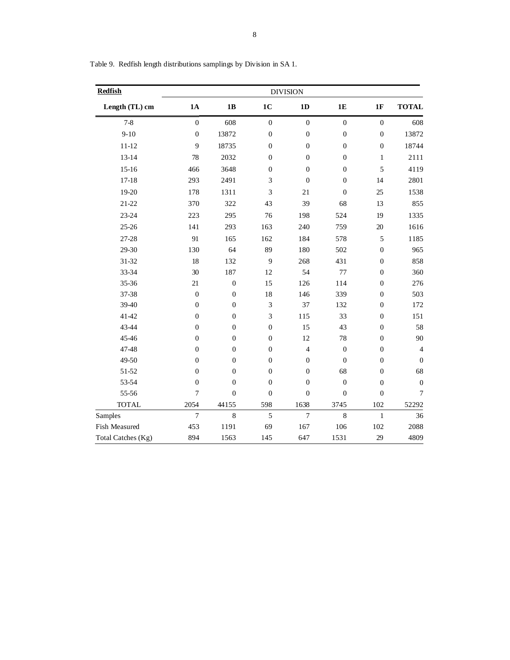| <b>Redfish</b>     | <b>DIVISION</b>  |                  |                  |                  |                  |                  |                  |  |  |
|--------------------|------------------|------------------|------------------|------------------|------------------|------------------|------------------|--|--|
| Length (TL) cm     | 1A               | 1B               | 1 <sub>C</sub>   | 1D               | 1E               | 1F               | <b>TOTAL</b>     |  |  |
| $7 - 8$            | $\boldsymbol{0}$ | 608              | $\mathbf{0}$     | $\overline{0}$   | $\overline{0}$   | $\boldsymbol{0}$ | 608              |  |  |
| $9 - 10$           | $\mathbf{0}$     | 13872            | $\boldsymbol{0}$ | $\boldsymbol{0}$ | $\boldsymbol{0}$ | $\boldsymbol{0}$ | 13872            |  |  |
| $11 - 12$          | 9                | 18735            | $\boldsymbol{0}$ | $\boldsymbol{0}$ | $\boldsymbol{0}$ | $\boldsymbol{0}$ | 18744            |  |  |
| $13 - 14$          | 78               | 2032             | $\mathbf{0}$     | $\boldsymbol{0}$ | $\overline{0}$   | $\mathbf{1}$     | 2111             |  |  |
| $15 - 16$          | 466              | 3648             | $\boldsymbol{0}$ | $\boldsymbol{0}$ | $\boldsymbol{0}$ | 5                | 4119             |  |  |
| $17 - 18$          | 293              | 2491             | 3                | $\boldsymbol{0}$ | $\boldsymbol{0}$ | 14               | 2801             |  |  |
| 19-20              | 178              | 1311             | 3                | 21               | $\overline{0}$   | 25               | 1538             |  |  |
| 21-22              | 370              | 322              | 43               | 39               | 68               | 13               | 855              |  |  |
| 23-24              | 223              | 295              | 76               | 198              | 524              | 19               | 1335             |  |  |
| 25-26              | 141              | 293              | 163              | 240              | 759              | 20               | 1616             |  |  |
| 27-28              | 91               | 165              | 162              | 184              | 578              | 5                | 1185             |  |  |
| 29-30              | 130              | 64               | 89               | 180              | 502              | $\boldsymbol{0}$ | 965              |  |  |
| 31-32              | 18               | 132              | 9                | 268              | 431              | $\boldsymbol{0}$ | 858              |  |  |
| 33-34              | 30               | 187              | 12               | 54               | 77               | $\boldsymbol{0}$ | 360              |  |  |
| 35-36              | 21               | $\boldsymbol{0}$ | 15               | 126              | 114              | $\boldsymbol{0}$ | 276              |  |  |
| 37-38              | $\boldsymbol{0}$ | $\mathbf{0}$     | 18               | 146              | 339              | $\boldsymbol{0}$ | 503              |  |  |
| 39-40              | $\boldsymbol{0}$ | $\mathbf{0}$     | 3                | 37               | 132              | $\boldsymbol{0}$ | 172              |  |  |
| 41-42              | $\boldsymbol{0}$ | $\boldsymbol{0}$ | 3                | 115              | 33               | $\boldsymbol{0}$ | 151              |  |  |
| 43-44              | $\boldsymbol{0}$ | $\boldsymbol{0}$ | $\boldsymbol{0}$ | 15               | 43               | $\boldsymbol{0}$ | 58               |  |  |
| 45-46              | $\boldsymbol{0}$ | $\boldsymbol{0}$ | $\boldsymbol{0}$ | 12               | 78               | $\boldsymbol{0}$ | 90               |  |  |
| 47-48              | $\overline{0}$   | $\boldsymbol{0}$ | $\boldsymbol{0}$ | $\overline{4}$   | $\boldsymbol{0}$ | $\boldsymbol{0}$ | $\overline{4}$   |  |  |
| 49-50              | $\overline{0}$   | $\overline{0}$   | $\boldsymbol{0}$ | $\boldsymbol{0}$ | $\overline{0}$   | $\overline{0}$   | $\Omega$         |  |  |
| 51-52              | $\overline{0}$   | $\overline{0}$   | $\boldsymbol{0}$ | $\boldsymbol{0}$ | 68               | $\overline{0}$   | 68               |  |  |
| 53-54              | $\overline{0}$   | $\overline{0}$   | $\boldsymbol{0}$ | $\mathbf{0}$     | $\boldsymbol{0}$ | $\boldsymbol{0}$ | $\boldsymbol{0}$ |  |  |
| 55-56              | $\overline{7}$   | $\boldsymbol{0}$ | $\boldsymbol{0}$ | $\boldsymbol{0}$ | $\boldsymbol{0}$ | $\boldsymbol{0}$ | $\overline{7}$   |  |  |
| <b>TOTAL</b>       | 2054             | 44155            | 598              | 1638             | 3745             | 102              | 52292            |  |  |
| Samples            | $\overline{7}$   | $\boldsymbol{8}$ | 5                | $\boldsymbol{7}$ | 8                | $\mathbf{1}$     | 36               |  |  |
| Fish Measured      | 453              | 1191             | 69               | 167              | 106              | 102              | 2088             |  |  |
| Total Catches (Kg) | 894              | 1563             | 145              | 647              | 1531             | 29               | 4809             |  |  |

Table 9. Redfish length distributions samplings by Division in SA 1.